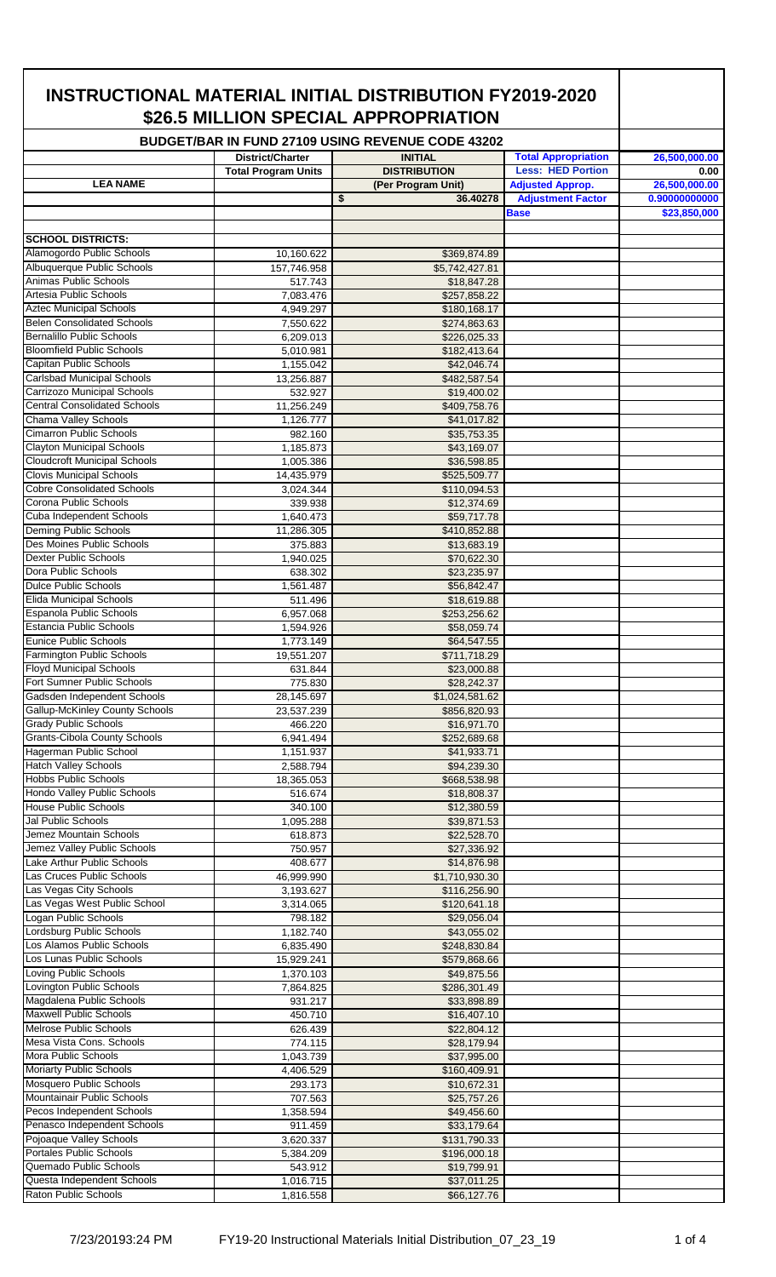|                                                                           |                            | <b>BUDGET/BAR IN FUND 27109 USING REVENUE CODE 43202</b> |                                                     |                                |
|---------------------------------------------------------------------------|----------------------------|----------------------------------------------------------|-----------------------------------------------------|--------------------------------|
|                                                                           | <b>District/Charter</b>    | <b>INITIAL</b>                                           | <b>Total Appropriation</b>                          | 26,500,000.00                  |
| <b>LEA NAME</b>                                                           | <b>Total Program Units</b> | <b>DISTRIBUTION</b>                                      | <b>Less: HED Portion</b>                            | 0.00                           |
|                                                                           |                            | \$<br>(Per Program Unit)<br>36.40278                     | <b>Adjusted Approp.</b><br><b>Adjustment Factor</b> | 26,500,000.00<br>0.90000000000 |
|                                                                           |                            |                                                          | <b>Base</b>                                         | \$23,850,000                   |
|                                                                           |                            |                                                          |                                                     |                                |
| <b>SCHOOL DISTRICTS:</b><br>Alamogordo Public Schools                     | 10,160.622                 | \$369,874.89                                             |                                                     |                                |
| Albuquerque Public Schools                                                | 157,746.958                | \$5,742,427.81                                           |                                                     |                                |
| Animas Public Schools                                                     | 517.743                    | \$18,847.28                                              |                                                     |                                |
| Artesia Public Schools                                                    | 7,083.476                  | \$257,858.22                                             |                                                     |                                |
| <b>Aztec Municipal Schools</b><br><b>Belen Consolidated Schools</b>       | 4,949.297                  | \$180,168.17                                             |                                                     |                                |
| Bernalillo Public Schools                                                 | 7,550.622<br>6,209.013     | \$274,863.63<br>\$226,025.33                             |                                                     |                                |
| <b>Bloomfield Public Schools</b>                                          | 5,010.981                  | \$182,413.64                                             |                                                     |                                |
| <b>Capitan Public Schools</b>                                             | 1,155.042                  | \$42,046.74                                              |                                                     |                                |
| <b>Carlsbad Municipal Schools</b>                                         | 13,256.887                 | \$482,587.54                                             |                                                     |                                |
| <b>Carrizozo Municipal Schools</b><br><b>Central Consolidated Schools</b> | 532.927                    | \$19,400.02                                              |                                                     |                                |
| Chama Valley Schools                                                      | 11,256.249<br>1,126.777    | \$409,758.76<br>\$41,017.82                              |                                                     |                                |
| <b>Cimarron Public Schools</b>                                            | 982.160                    | \$35,753.35                                              |                                                     |                                |
| <b>Clayton Municipal Schools</b>                                          | 1,185.873                  | \$43,169.07                                              |                                                     |                                |
| <b>Cloudcroft Municipal Schools</b>                                       | 1,005.386                  | \$36,598.85                                              |                                                     |                                |
| <b>Clovis Municipal Schools</b><br><b>Cobre Consolidated Schools</b>      | 14,435.979                 | \$525,509.77                                             |                                                     |                                |
| Corona Public Schools                                                     | 3,024.344<br>339.938       | \$110,094.53<br>\$12,374.69                              |                                                     |                                |
| Cuba Independent Schools                                                  | 1,640.473                  | \$59,717.78                                              |                                                     |                                |
| Deming Public Schools                                                     | 11,286.305                 | \$410,852.88                                             |                                                     |                                |
| Des Moines Public Schools                                                 | 375.883                    | \$13,683.19                                              |                                                     |                                |
| <b>Dexter Public Schools</b><br>Dora Public Schools                       | 1,940.025                  | \$70,622.30                                              |                                                     |                                |
| <b>Dulce Public Schools</b>                                               | 638.302<br>1,561.487       | \$23,235.97<br>\$56,842.47                               |                                                     |                                |
| Elida Municipal Schools                                                   | 511.496                    | \$18,619.88                                              |                                                     |                                |
| Espanola Public Schools                                                   | 6,957.068                  | \$253,256.62                                             |                                                     |                                |
| <b>Estancia Public Schools</b>                                            | 1,594.926                  | \$58,059.74                                              |                                                     |                                |
| Eunice Public Schools<br><b>Farmington Public Schools</b>                 | 1,773.149<br>19,551.207    | \$64,547.55<br>\$711,718.29                              |                                                     |                                |
| <b>Floyd Municipal Schools</b>                                            | 631.844                    | \$23,000.88                                              |                                                     |                                |
| Fort Sumner Public Schools                                                | 775.830                    | \$28,242.37                                              |                                                     |                                |
| Gadsden Independent Schools                                               | 28,145.697                 | \$1,024,581.62                                           |                                                     |                                |
| Gallup-McKinley County Schools                                            | 23,537.239                 | \$856,820.93                                             |                                                     |                                |
| <b>Grady Public Schools</b><br><b>Grants-Cibola County Schools</b>        | 466.220<br>6,941.494       | \$16,971.70<br>\$252,689.68                              |                                                     |                                |
| Hagerman Public School                                                    | 1,151.937                  | \$41,933.71                                              |                                                     |                                |
| <b>Hatch Valley Schools</b>                                               | 2,588.794                  | \$94,239.30                                              |                                                     |                                |
| <b>Hobbs Public Schools</b>                                               | 18,365.053                 | \$668,538.98                                             |                                                     |                                |
| Hondo Valley Public Schools                                               | 516.674                    | \$18,808.37                                              |                                                     |                                |
| <b>House Public Schools</b><br>Jal Public Schools                         | 340.100<br>1,095.288       | \$12,380.59<br>\$39,871.53                               |                                                     |                                |
| Jemez Mountain Schools                                                    | 618.873                    | \$22,528.70                                              |                                                     |                                |
| Jemez Valley Public Schools                                               | 750.957                    | \$27,336.92                                              |                                                     |                                |
| Lake Arthur Public Schools                                                | 408.677                    | \$14,876.98                                              |                                                     |                                |
| Las Cruces Public Schools                                                 | 46,999.990                 | $\overline{$1,710,930.30}$                               |                                                     |                                |
| Las Vegas City Schools<br>Las Vegas West Public School                    | 3,193.627<br>3,314.065     | \$116,256.90<br>\$120,641.18                             |                                                     |                                |
| Logan Public Schools                                                      | 798.182                    | \$29,056.04                                              |                                                     |                                |
| Lordsburg Public Schools                                                  | 1,182.740                  | \$43,055.02                                              |                                                     |                                |
| Los Alamos Public Schools                                                 | 6,835.490                  | \$248,830.84                                             |                                                     |                                |
| Los Lunas Public Schools                                                  | 15,929.241                 | \$579,868.66                                             |                                                     |                                |
| Loving Public Schools<br>Lovington Public Schools                         | 1,370.103<br>7,864.825     | \$49,875.56<br>\$286,301.49                              |                                                     |                                |
| Magdalena Public Schools                                                  | 931.217                    | \$33,898.89                                              |                                                     |                                |
| <b>Maxwell Public Schools</b>                                             | 450.710                    | \$16,407.10                                              |                                                     |                                |
| <b>Melrose Public Schools</b>                                             | 626.439                    | \$22,804.12                                              |                                                     |                                |
| Mesa Vista Cons. Schools                                                  | 774.115                    | \$28,179.94                                              |                                                     |                                |
| <b>Mora Public Schools</b><br><b>Moriarty Public Schools</b>              | 1,043.739<br>4,406.529     | \$37,995.00<br>\$160,409.91                              |                                                     |                                |
| <b>Mosquero Public Schools</b>                                            | 293.173                    | \$10,672.31                                              |                                                     |                                |
| Mountainair Public Schools                                                | 707.563                    | \$25,757.26                                              |                                                     |                                |
| Pecos Independent Schools                                                 | 1,358.594                  | \$49,456.60                                              |                                                     |                                |
| Penasco Independent Schools                                               | 911.459                    | \$33,179.64                                              |                                                     |                                |
| Pojoaque Valley Schools<br><b>Portales Public Schools</b>                 | 3,620.337                  | \$131,790.33                                             |                                                     |                                |
| Quemado Public Schools                                                    | 5,384.209<br>543.912       | \$196,000.18<br>\$19,799.91                              |                                                     |                                |
| Questa Independent Schools                                                | 1,016.715                  | \$37,011.25                                              |                                                     |                                |
| Raton Public Schools                                                      | 1,816.558                  | \$66,127.76                                              |                                                     |                                |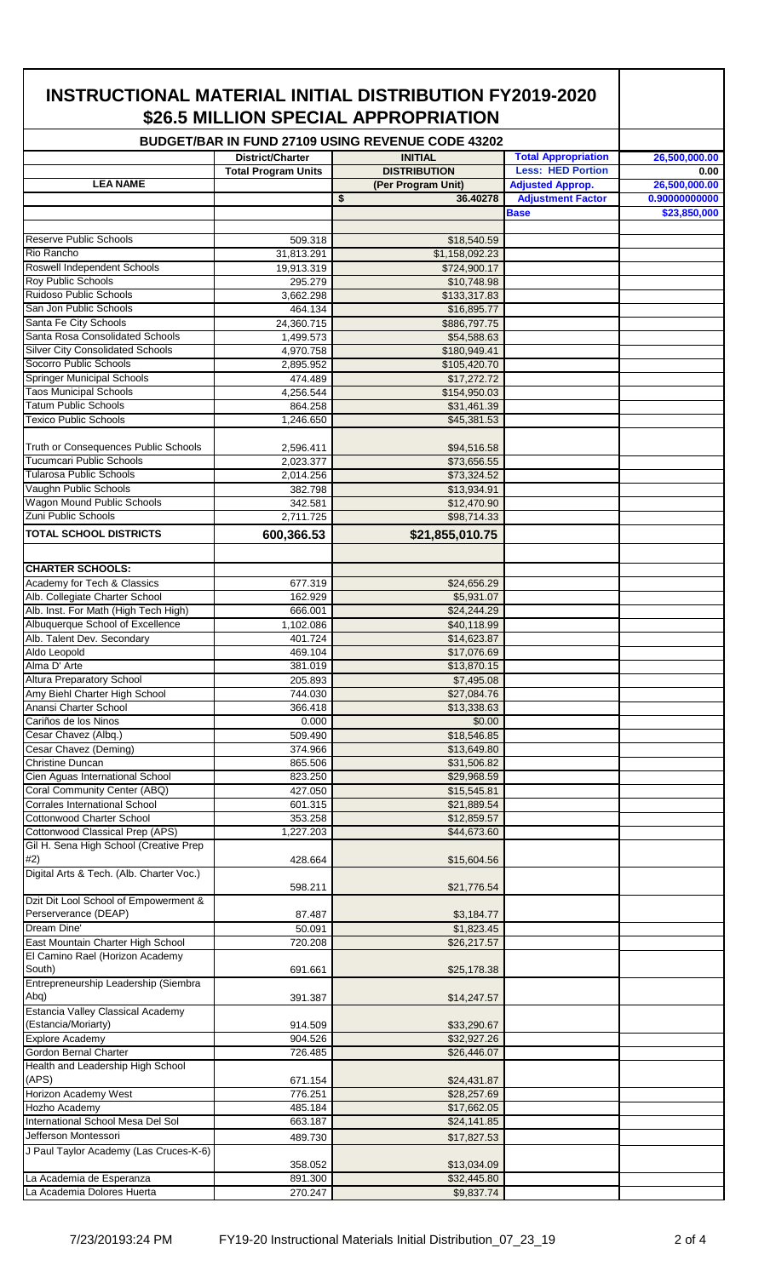|                                                                        |                            | \$26.5 MILLION SPECIAL APPROPRIATION<br><b>BUDGET/BAR IN FUND 27109 USING REVENUE CODE 43202</b> |                            |               |
|------------------------------------------------------------------------|----------------------------|--------------------------------------------------------------------------------------------------|----------------------------|---------------|
|                                                                        | District/Charter           | <b>INITIAL</b>                                                                                   | <b>Total Appropriation</b> | 26,500,000.00 |
|                                                                        | <b>Total Program Units</b> | <b>DISTRIBUTION</b>                                                                              | <b>Less: HED Portion</b>   | 0.00          |
| <b>LEA NAME</b>                                                        |                            | (Per Program Unit)                                                                               | <b>Adjusted Approp.</b>    | 26,500,000.00 |
|                                                                        |                            | \$<br>36.40278                                                                                   | <b>Adjustment Factor</b>   | 0.90000000000 |
|                                                                        |                            |                                                                                                  | <b>Base</b>                | \$23,850,000  |
| <b>Reserve Public Schools</b>                                          | 509.318                    | \$18,540.59                                                                                      |                            |               |
| Rio Rancho                                                             | 31,813.291                 | \$1,158,092.23                                                                                   |                            |               |
| Roswell Independent Schools                                            | 19,913.319                 | \$724,900.17                                                                                     |                            |               |
| Roy Public Schools                                                     | 295.279                    | \$10,748.98                                                                                      |                            |               |
| Ruidoso Public Schools                                                 | 3,662.298                  | \$133,317.83                                                                                     |                            |               |
| San Jon Public Schools                                                 | 464.134                    | \$16,895.77                                                                                      |                            |               |
| Santa Fe City Schools                                                  | 24,360.715                 | \$886,797.75                                                                                     |                            |               |
| Santa Rosa Consolidated Schools                                        | 1,499.573                  | \$54,588.63                                                                                      |                            |               |
| <b>Silver City Consolidated Schools</b><br>Socorro Public Schools      | 4,970.758<br>2,895.952     | \$180,949.41<br>\$105,420.70                                                                     |                            |               |
| <b>Springer Municipal Schools</b>                                      | 474.489                    | \$17,272.72                                                                                      |                            |               |
| <b>Taos Municipal Schools</b>                                          | 4,256.544                  | \$154,950.03                                                                                     |                            |               |
| <b>Tatum Public Schools</b>                                            | 864.258                    | \$31,461.39                                                                                      |                            |               |
| <b>Texico Public Schools</b>                                           | 1,246.650                  | \$45,381.53                                                                                      |                            |               |
|                                                                        |                            |                                                                                                  |                            |               |
| Truth or Consequences Public Schools                                   | 2,596.411                  | \$94,516.58                                                                                      |                            |               |
| <b>Tucumcari Public Schools</b>                                        | 2,023.377                  | \$73,656.55                                                                                      |                            |               |
| <b>Tularosa Public Schools</b>                                         | 2,014.256                  | \$73,324.52                                                                                      |                            |               |
| Vaughn Public Schools<br>Wagon Mound Public Schools                    | 382.798                    | \$13,934.91                                                                                      |                            |               |
| Zuni Public Schools                                                    | 342.581<br>2,711.725       | \$12,470.90<br>\$98,714.33                                                                       |                            |               |
| <b>TOTAL SCHOOL DISTRICTS</b>                                          |                            |                                                                                                  |                            |               |
|                                                                        | 600,366.53                 | \$21,855,010.75                                                                                  |                            |               |
|                                                                        |                            |                                                                                                  |                            |               |
| <b>CHARTER SCHOOLS:</b>                                                |                            |                                                                                                  |                            |               |
| Academy for Tech & Classics                                            | 677.319                    | \$24,656.29                                                                                      |                            |               |
| Alb. Collegiate Charter School<br>Alb. Inst. For Math (High Tech High) | 162.929                    | \$5,931.07<br>\$24,244.29                                                                        |                            |               |
| Albuquerque School of Excellence                                       | 666.001<br>1,102.086       | \$40,118.99                                                                                      |                            |               |
| Alb. Talent Dev. Secondary                                             | 401.724                    | \$14,623.87                                                                                      |                            |               |
| Aldo Leopold                                                           | 469.104                    | \$17,076.69                                                                                      |                            |               |
| Alma D' Arte                                                           | 381.019                    | \$13,870.15                                                                                      |                            |               |
| Altura Preparatory School                                              | 205.893                    | \$7,495.08                                                                                       |                            |               |
| Amy Biehl Charter High School                                          | 744.030                    | \$27,084.76                                                                                      |                            |               |
| Anansi Charter School                                                  | 366.418                    | \$13,338.63                                                                                      |                            |               |
| Cariños de los Ninos                                                   | 0.000                      | \$0.00                                                                                           |                            |               |
| Cesar Chavez (Albq.)                                                   | 509.490                    | \$18,546.85                                                                                      |                            |               |
| Cesar Chavez (Deming)<br><b>Christine Duncan</b>                       | 374.966<br>865.506         | \$13,649.80<br>\$31,506.82                                                                       |                            |               |
| Cien Aguas International School                                        | 823.250                    | \$29,968.59                                                                                      |                            |               |
| Coral Community Center (ABQ)                                           | 427.050                    | \$15,545.81                                                                                      |                            |               |
| Corrales International School                                          | 601.315                    | \$21,889.54                                                                                      |                            |               |
| <b>Cottonwood Charter School</b>                                       | 353.258                    | \$12,859.57                                                                                      |                            |               |
| Cottonwood Classical Prep (APS)                                        | 1,227.203                  | \$44,673.60                                                                                      |                            |               |
| Gil H. Sena High School (Creative Prep                                 |                            |                                                                                                  |                            |               |
| #2)                                                                    | 428.664                    | \$15,604.56                                                                                      |                            |               |
| Digital Arts & Tech. (Alb. Charter Voc.)                               |                            |                                                                                                  |                            |               |
| Dzit Dit Lool School of Empowerment &                                  | 598.211                    | \$21,776.54                                                                                      |                            |               |
| Perserverance (DEAP)                                                   | 87.487                     | \$3,184.77                                                                                       |                            |               |
| Dream Dine'                                                            | 50.091                     | \$1,823.45                                                                                       |                            |               |
| East Mountain Charter High School                                      | 720.208                    | \$26,217.57                                                                                      |                            |               |
| El Camino Rael (Horizon Academy                                        |                            |                                                                                                  |                            |               |
| South)                                                                 | 691.661                    | \$25,178.38                                                                                      |                            |               |
| Entrepreneurship Leadership (Siembra                                   |                            |                                                                                                  |                            |               |
| Abq)                                                                   | 391.387                    | \$14,247.57                                                                                      |                            |               |
| Estancia Valley Classical Academy                                      |                            |                                                                                                  |                            |               |
| (Estancia/Moriarty)                                                    | 914.509                    | \$33,290.67                                                                                      |                            |               |
| <b>Explore Academy</b><br>Gordon Bernal Charter                        | 904.526<br>726.485         | \$32,927.26<br>\$26,446.07                                                                       |                            |               |
| Health and Leadership High School                                      |                            |                                                                                                  |                            |               |
| (APS)                                                                  | 671.154                    | \$24,431.87                                                                                      |                            |               |
| Horizon Academy West                                                   | 776.251                    | \$28,257.69                                                                                      |                            |               |
| Hozho Academy                                                          | 485.184                    | \$17,662.05                                                                                      |                            |               |
| International School Mesa Del Sol                                      | 663.187                    | \$24,141.85                                                                                      |                            |               |
| Jefferson Montessori                                                   | 489.730                    | \$17,827.53                                                                                      |                            |               |
| J Paul Taylor Academy (Las Cruces-K-6)                                 |                            |                                                                                                  |                            |               |
|                                                                        | 358.052                    | \$13,034.09                                                                                      |                            |               |
| La Academia de Esperanza                                               | 891.300                    | \$32,445.80                                                                                      |                            |               |
| La Academia Dolores Huerta                                             | 270.247                    | \$9,837.74                                                                                       |                            |               |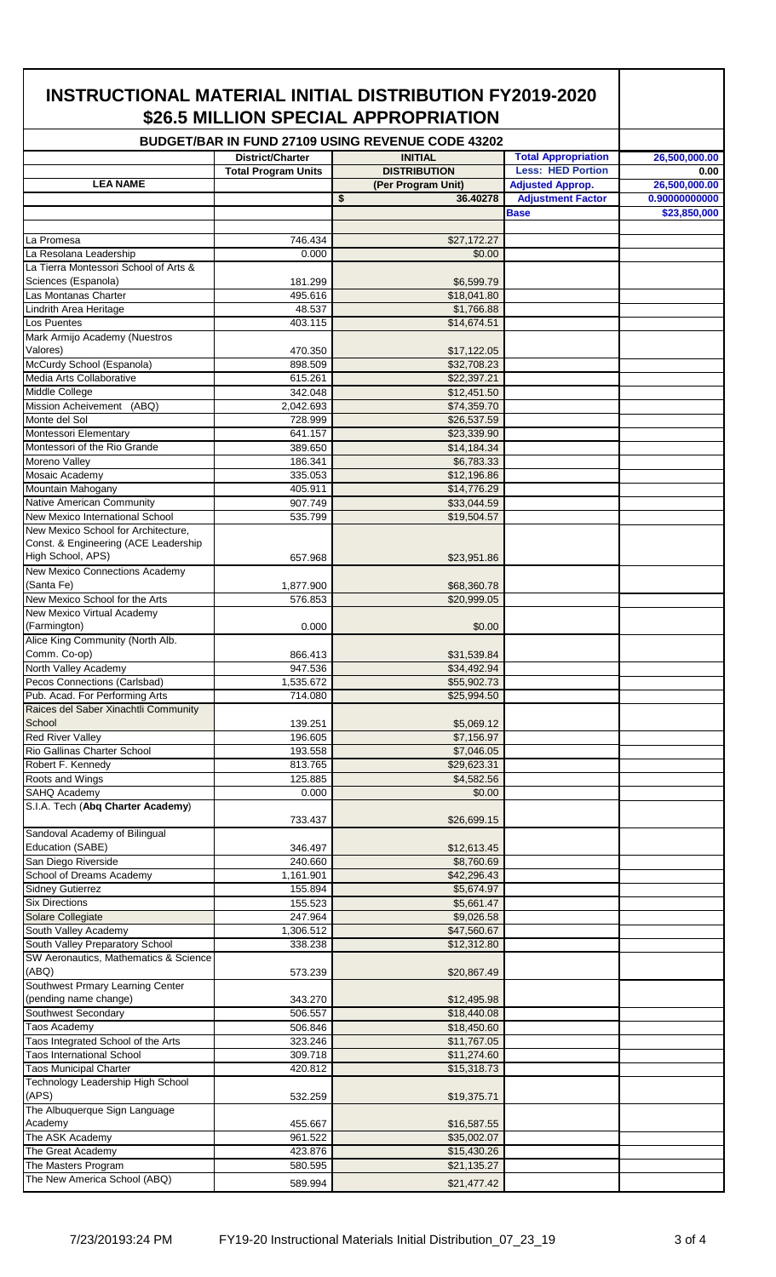| \$26.5 MILLION SPECIAL APPROPRIATION<br>BUDGET/BAR IN FUND 27109 USING REVENUE CODE 43202 |                            |    |                                       |                                         |                               |
|-------------------------------------------------------------------------------------------|----------------------------|----|---------------------------------------|-----------------------------------------|-------------------------------|
|                                                                                           | District/Charter           |    | <b>INITIAL</b>                        | <b>Total Appropriation</b>              | 26,500,000.00                 |
|                                                                                           | <b>Total Program Units</b> |    | <b>DISTRIBUTION</b>                   | <b>Less: HED Portion</b>                | 0.00                          |
| <b>LEA NAME</b>                                                                           |                            |    | (Per Program Unit)                    | <b>Adjusted Approp.</b>                 | 26,500,000.00                 |
|                                                                                           |                            | \$ | 36.40278                              | <b>Adjustment Factor</b><br><b>Base</b> | 0.90000000000<br>\$23,850,000 |
|                                                                                           |                            |    |                                       |                                         |                               |
| La Promesa                                                                                | 746.434                    |    | \$27,172.27                           |                                         |                               |
| La Resolana Leadership<br>La Tierra Montessori School of Arts &                           | 0.000                      |    | \$0.00                                |                                         |                               |
| Sciences (Espanola)                                                                       | 181.299                    |    | \$6,599.79                            |                                         |                               |
| Las Montanas Charter                                                                      | 495.616                    |    | \$18,041.80                           |                                         |                               |
| Lindrith Area Heritage                                                                    | 48.537                     |    | \$1,766.88                            |                                         |                               |
| Los Puentes                                                                               | 403.115                    |    | \$14,674.51                           |                                         |                               |
| Mark Armijo Academy (Nuestros<br>Valores)                                                 | 470.350                    |    | \$17,122.05                           |                                         |                               |
| McCurdy School (Espanola)                                                                 | 898.509                    |    | \$32,708.23                           |                                         |                               |
| Media Arts Collaborative                                                                  | 615.261                    |    | \$22,397.21                           |                                         |                               |
| Middle College                                                                            | 342.048                    |    | \$12,451.50                           |                                         |                               |
| Mission Acheivement (ABQ)<br>Monte del Sol                                                | 2,042.693                  |    | \$74,359.70                           |                                         |                               |
| Montessori Elementary                                                                     | 728.999<br>641.157         |    | \$26,537.59<br>\$23,339.90            |                                         |                               |
| Montessori of the Rio Grande                                                              | 389.650                    |    | \$14,184.34                           |                                         |                               |
| Moreno Valley                                                                             | 186.341                    |    | \$6,783.33                            |                                         |                               |
| Mosaic Academy                                                                            | 335.053                    |    | \$12,196.86                           |                                         |                               |
| Mountain Mahogany<br>Native American Community                                            | 405.911<br>907.749         |    | $\overline{$}14,776.29$               |                                         |                               |
| New Mexico International School                                                           | 535.799                    |    | \$33,044.59<br>\$19,504.57            |                                         |                               |
| New Mexico School for Architecture,                                                       |                            |    |                                       |                                         |                               |
| Const. & Engineering (ACE Leadership                                                      |                            |    |                                       |                                         |                               |
| High School, APS)                                                                         | 657.968                    |    | \$23,951.86                           |                                         |                               |
| New Mexico Connections Academy<br>(Santa Fe)                                              | 1,877.900                  |    | \$68,360.78                           |                                         |                               |
| New Mexico School for the Arts                                                            | 576.853                    |    | \$20.999.05                           |                                         |                               |
| New Mexico Virtual Academy                                                                |                            |    |                                       |                                         |                               |
| (Farmington)                                                                              | 0.000                      |    | \$0.00                                |                                         |                               |
| Alice King Community (North Alb.                                                          |                            |    |                                       |                                         |                               |
| Comm. Co-op)<br>North Valley Academy                                                      | 866.413<br>947.536         |    | \$31,539.84<br>\$34,492.94            |                                         |                               |
| Pecos Connections (Carlsbad)                                                              | 1,535.672                  |    | \$55,902.73                           |                                         |                               |
| Pub. Acad. For Performing Arts                                                            | 714.080                    |    | \$25,994.50                           |                                         |                               |
| Raices del Saber Xinachtli Community                                                      |                            |    |                                       |                                         |                               |
| School<br><b>Red River Valley</b>                                                         | 139.251<br>196.605         |    | \$5,069.12<br>\$7,156.97              |                                         |                               |
| Rio Gallinas Charter School                                                               | 193.558                    |    | \$7,046.05                            |                                         |                               |
| Robert F. Kennedv                                                                         | 813.765                    |    | \$29,623.31                           |                                         |                               |
| Roots and Wings                                                                           | 125.885                    |    | \$4,582.56                            |                                         |                               |
| SAHQ Academy                                                                              | 0.000                      |    | \$0.00                                |                                         |                               |
| S.I.A. Tech (Abq Charter Academy)                                                         | 733.437                    |    | \$26,699.15                           |                                         |                               |
| Sandoval Academy of Bilingual                                                             |                            |    |                                       |                                         |                               |
| Education (SABE)                                                                          | 346.497                    |    | \$12,613.45                           |                                         |                               |
| San Diego Riverside                                                                       | 240.660                    |    | \$8,760.69                            |                                         |                               |
| School of Dreams Academy<br><b>Sidney Gutierrez</b>                                       | 1,161.901<br>155.894       |    | $\overline{$42,296.43}$<br>\$5,674.97 |                                         |                               |
| <b>Six Directions</b>                                                                     | 155.523                    |    | \$5,661.47                            |                                         |                               |
| Solare Collegiate                                                                         | 247.964                    |    | \$9,026.58                            |                                         |                               |
| South Valley Academy                                                                      | 1,306.512                  |    | \$47,560.67                           |                                         |                               |
| South Valley Preparatory School                                                           | 338.238                    |    | \$12,312.80                           |                                         |                               |
| SW Aeronautics, Mathematics & Science<br>(ABQ)                                            | 573.239                    |    | \$20,867.49                           |                                         |                               |
| Southwest Prmary Learning Center                                                          |                            |    |                                       |                                         |                               |
| (pending name change)                                                                     | 343.270                    |    | \$12,495.98                           |                                         |                               |
| Southwest Secondary                                                                       | 506.557                    |    | \$18,440.08                           |                                         |                               |
| Taos Academy<br>Taos Integrated School of the Arts                                        | 506.846<br>323.246         |    | \$18,450.60<br>\$11,767.05            |                                         |                               |
| <b>Taos International School</b>                                                          | 309.718                    |    | \$11,274.60                           |                                         |                               |
| <b>Taos Municipal Charter</b>                                                             | 420.812                    |    | \$15,318.73                           |                                         |                               |
| Technology Leadership High School                                                         |                            |    |                                       |                                         |                               |
| (APS)                                                                                     | 532.259                    |    | \$19,375.71                           |                                         |                               |
| The Albuquerque Sign Language<br>Academy                                                  | 455.667                    |    | \$16,587.55                           |                                         |                               |
| The ASK Academy                                                                           | 961.522                    |    | \$35,002.07                           |                                         |                               |
| The Great Academy                                                                         | 423.876                    |    | \$15,430.26                           |                                         |                               |
| The Masters Program                                                                       | 580.595                    |    | \$21,135.27                           |                                         |                               |
| The New America School (ABQ)                                                              | 589.994                    |    | \$21,477.42                           |                                         |                               |